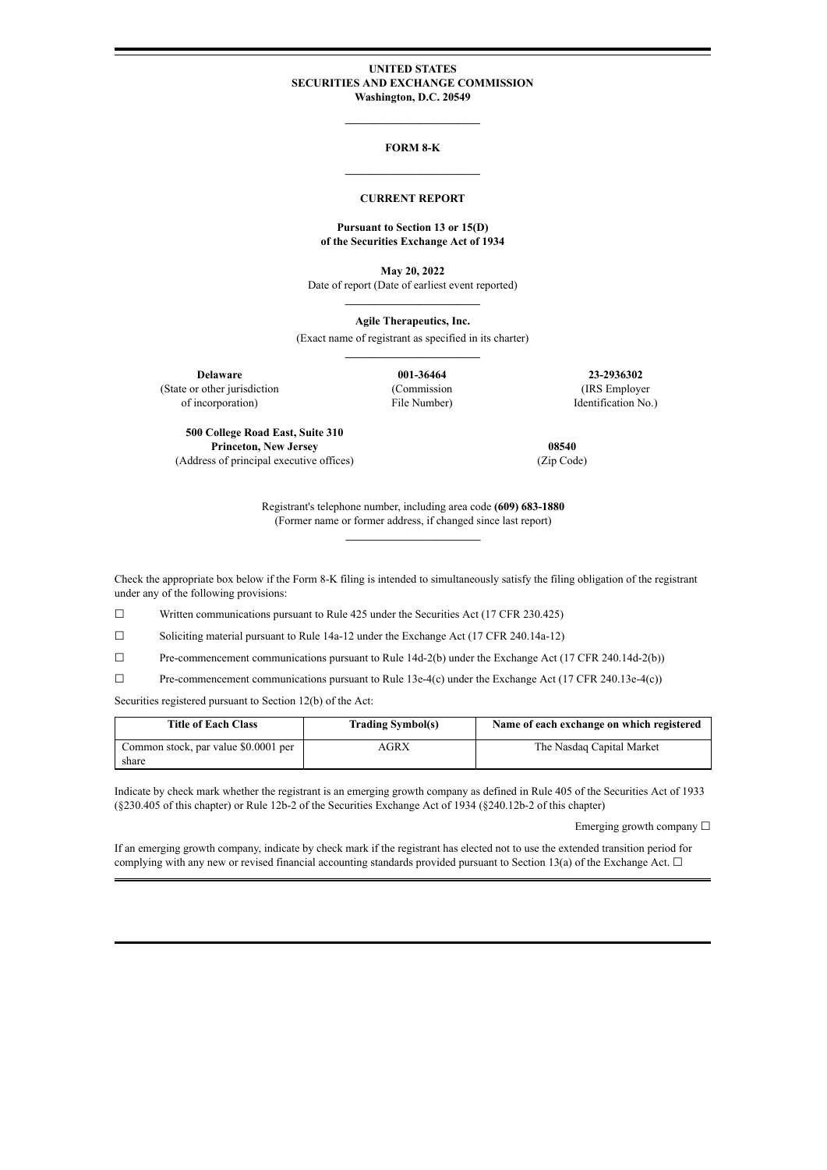#### **UNITED STATES SECURITIES AND EXCHANGE COMMISSION Washington, D.C. 20549**

**\_\_\_\_\_\_\_\_\_\_\_\_\_\_\_\_\_\_\_\_\_\_\_\_**

# **FORM 8-K \_\_\_\_\_\_\_\_\_\_\_\_\_\_\_\_\_\_\_\_\_\_\_\_**

#### **CURRENT REPORT**

#### **Pursuant to Section 13 or 15(D) of the Securities Exchange Act of 1934**

**May 20, 2022** Date of report (Date of earliest event reported) **\_\_\_\_\_\_\_\_\_\_\_\_\_\_\_\_\_\_\_\_\_\_\_\_**

**Agile Therapeutics, Inc.**

(Exact name of registrant as specified in its charter) **\_\_\_\_\_\_\_\_\_\_\_\_\_\_\_\_\_\_\_\_\_\_\_\_**

(State or other jurisdiction

of incorporation)

(Commission File Number)

**Delaware 001-36464 23-2936302** (IRS Employer Identification No.)

**500 College Road East, Suite 310 Princeton, New Jersey** (Address of principal executive offices)

**08540** (Zip Code)

Registrant's telephone number, including area code **(609) 683-1880** (Former name or former address, if changed since last report) **\_\_\_\_\_\_\_\_\_\_\_\_\_\_\_\_\_\_\_\_\_\_\_\_**

Check the appropriate box below if the Form 8-K filing is intended to simultaneously satisfy the filing obligation of the registrant under any of the following provisions:

☐ Written communications pursuant to Rule 425 under the Securities Act (17 CFR 230.425)

☐ Soliciting material pursuant to Rule 14a-12 under the Exchange Act (17 CFR 240.14a-12)

☐ Pre-commencement communications pursuant to Rule 14d-2(b) under the Exchange Act (17 CFR 240.14d-2(b))

 $\Box$  Pre-commencement communications pursuant to Rule 13e-4(c) under the Exchange Act (17 CFR 240.13e-4(c))

Securities registered pursuant to Section 12(b) of the Act:

| <b>Title of Each Class</b>           | <b>Trading Symbol(s)</b> | Name of each exchange on which registered |
|--------------------------------------|--------------------------|-------------------------------------------|
| Common stock, par value \$0.0001 per | AGRX                     | The Nasdag Capital Market                 |
| share                                |                          |                                           |

Indicate by check mark whether the registrant is an emerging growth company as defined in Rule 405 of the Securities Act of 1933 (§230.405 of this chapter) or Rule 12b-2 of the Securities Exchange Act of 1934 (§240.12b-2 of this chapter)

Emerging growth company  $\Box$ 

If an emerging growth company, indicate by check mark if the registrant has elected not to use the extended transition period for complying with any new or revised financial accounting standards provided pursuant to Section 13(a) of the Exchange Act.  $\Box$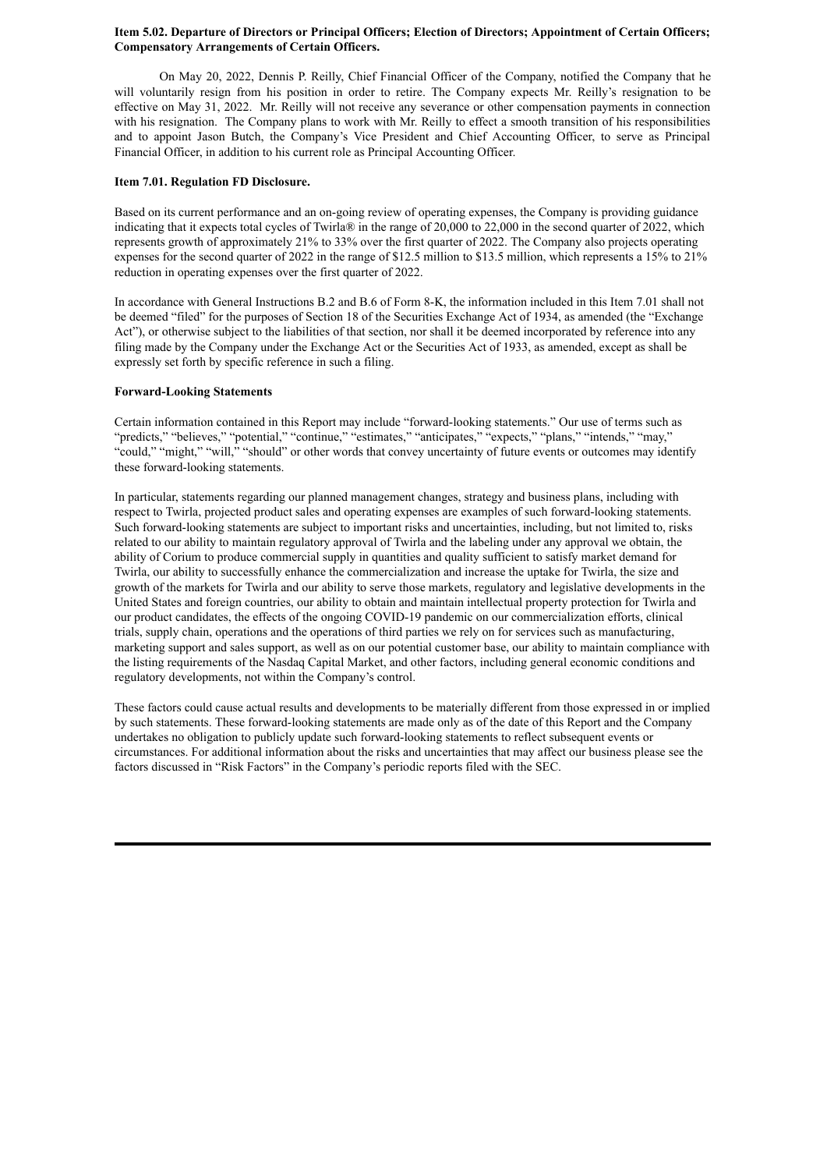### **Item 5.02. Departure of Directors or Principal Officers; Election of Directors; Appointment of Certain Officers; Compensatory Arrangements of Certain Officers.**

On May 20, 2022, Dennis P. Reilly, Chief Financial Officer of the Company, notified the Company that he will voluntarily resign from his position in order to retire. The Company expects Mr. Reilly's resignation to be effective on May 31, 2022. Mr. Reilly will not receive any severance or other compensation payments in connection with his resignation. The Company plans to work with Mr. Reilly to effect a smooth transition of his responsibilities and to appoint Jason Butch, the Company's Vice President and Chief Accounting Officer, to serve as Principal Financial Officer, in addition to his current role as Principal Accounting Officer.

### **Item 7.01. Regulation FD Disclosure.**

Based on its current performance and an on-going review of operating expenses, the Company is providing guidance indicating that it expects total cycles of Twirla® in the range of 20,000 to 22,000 in the second quarter of 2022, which represents growth of approximately 21% to 33% over the first quarter of 2022. The Company also projects operating expenses for the second quarter of 2022 in the range of \$12.5 million to \$13.5 million, which represents a 15% to 21% reduction in operating expenses over the first quarter of 2022.

In accordance with General Instructions B.2 and B.6 of Form 8-K, the information included in this Item 7.01 shall not be deemed "filed" for the purposes of Section 18 of the Securities Exchange Act of 1934, as amended (the "Exchange Act"), or otherwise subject to the liabilities of that section, nor shall it be deemed incorporated by reference into any filing made by the Company under the Exchange Act or the Securities Act of 1933, as amended, except as shall be expressly set forth by specific reference in such a filing.

### **Forward-Looking Statements**

Certain information contained in this Report may include "forward-looking statements." Our use of terms such as "predicts," "believes," "potential," "continue," "estimates," "anticipates," "expects," "plans," "intends," "may," "could," "might," "will," "should" or other words that convey uncertainty of future events or outcomes may identify these forward-looking statements.

In particular, statements regarding our planned management changes, strategy and business plans, including with respect to Twirla, projected product sales and operating expenses are examples of such forward-looking statements. Such forward-looking statements are subject to important risks and uncertainties, including, but not limited to, risks related to our ability to maintain regulatory approval of Twirla and the labeling under any approval we obtain, the ability of Corium to produce commercial supply in quantities and quality sufficient to satisfy market demand for Twirla, our ability to successfully enhance the commercialization and increase the uptake for Twirla, the size and growth of the markets for Twirla and our ability to serve those markets, regulatory and legislative developments in the United States and foreign countries, our ability to obtain and maintain intellectual property protection for Twirla and our product candidates, the effects of the ongoing COVID-19 pandemic on our commercialization efforts, clinical trials, supply chain, operations and the operations of third parties we rely on for services such as manufacturing, marketing support and sales support, as well as on our potential customer base, our ability to maintain compliance with the listing requirements of the Nasdaq Capital Market, and other factors, including general economic conditions and regulatory developments, not within the Company's control.

These factors could cause actual results and developments to be materially different from those expressed in or implied by such statements. These forward-looking statements are made only as of the date of this Report and the Company undertakes no obligation to publicly update such forward-looking statements to reflect subsequent events or circumstances. For additional information about the risks and uncertainties that may affect our business please see the factors discussed in "Risk Factors" in the Company's periodic reports filed with the SEC.